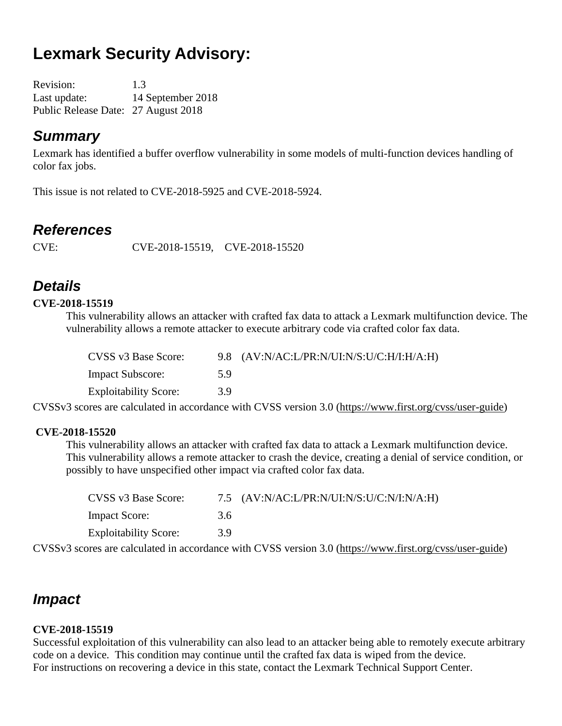# **Lexmark Security Advisory:**

Revision: 1.3 Last update: 14 September 2018 Public Release Date: 27 August 2018

### *Summary*

Lexmark has identified a buffer overflow vulnerability in some models of multi-function devices handling of color fax jobs.

This issue is not related to CVE-2018-5925 and CVE-2018-5924.

### *References*

CVE: CVE-2018-15519, CVE-2018-15520

## *Details*

#### **CVE-2018-15519**

This vulnerability allows an attacker with crafted fax data to attack a Lexmark multifunction device. The vulnerability allows a remote attacker to execute arbitrary code via crafted color fax data.

| CVSS v3 Base Score:          |     | 9.8 $(AV:N/AC:L/PR:N/UI:N/S:U/C:H/I:H/A:H)$ |
|------------------------------|-----|---------------------------------------------|
| <b>Impact Subscore:</b>      | 5.9 |                                             |
| <b>Exploitability Score:</b> | 3.9 |                                             |

CVSSv3 scores are calculated in accordance with CVSS version 3.0 [\(https://www.first.org/cvss/user-guide\)](https://www.first.org/cvss/user-guide)

#### **CVE-2018-15520**

This vulnerability allows an attacker with crafted fax data to attack a Lexmark multifunction device. This vulnerability allows a remote attacker to crash the device, creating a denial of service condition, or possibly to have unspecified other impact via crafted color fax data.

| CVSS v3 Base Score:          |     | 7.5 $(AV:N/AC: L/PR:N/UI:N/S: U/C:N/I:N/A:H)$ |
|------------------------------|-----|-----------------------------------------------|
| <b>Impact Score:</b>         | 3.6 |                                               |
| <b>Exploitability Score:</b> | 3.9 |                                               |

CVSSv3 scores are calculated in accordance with CVSS version 3.0 [\(https://www.first.org/cvss/user-guide\)](https://www.first.org/cvss/user-guide)

### *Impact*

#### **CVE-2018-15519**

Successful exploitation of this vulnerability can also lead to an attacker being able to remotely execute arbitrary code on a device. This condition may continue until the crafted fax data is wiped from the device. For instructions on recovering a device in this state, contact the Lexmark Technical Support Center.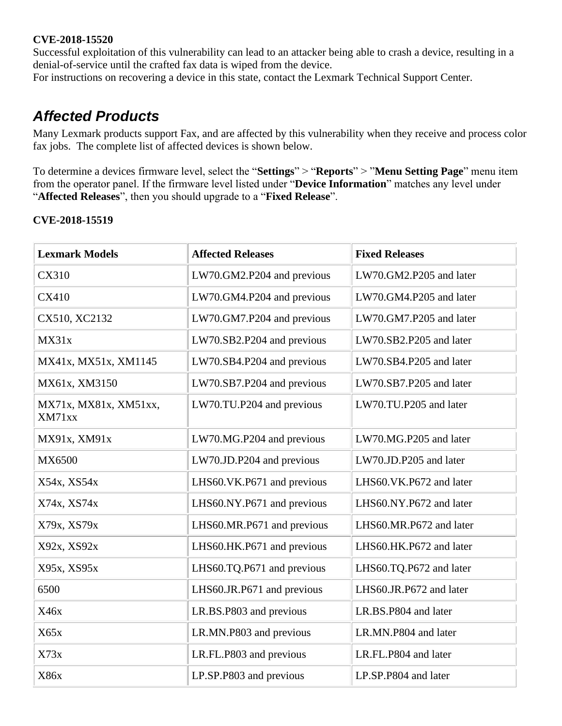#### **CVE-2018-15520**

Successful exploitation of this vulnerability can lead to an attacker being able to crash a device, resulting in a denial-of-service until the crafted fax data is wiped from the device.

For instructions on recovering a device in this state, contact the Lexmark Technical Support Center.

### *Affected Products*

Many Lexmark products support Fax, and are affected by this vulnerability when they receive and process color fax jobs. The complete list of affected devices is shown below.

To determine a devices firmware level, select the "**Settings**" > "**Reports**" > "**Menu Setting Page**" menu item from the operator panel. If the firmware level listed under "**Device Information**" matches any level under "**Affected Releases**", then you should upgrade to a "**Fixed Release**".

#### **CVE-2018-15519**

| <b>Lexmark Models</b>           | <b>Affected Releases</b>   | <b>Fixed Releases</b>   |
|---------------------------------|----------------------------|-------------------------|
| <b>CX310</b>                    | LW70.GM2.P204 and previous | LW70.GM2.P205 and later |
| <b>CX410</b>                    | LW70.GM4.P204 and previous | LW70.GM4.P205 and later |
| CX510, XC2132                   | LW70.GM7.P204 and previous | LW70.GM7.P205 and later |
| MX31x                           | LW70.SB2.P204 and previous | LW70.SB2.P205 and later |
| MX41x, MX51x, XM1145            | LW70.SB4.P204 and previous | LW70.SB4.P205 and later |
| MX61x, XM3150                   | LW70.SB7.P204 and previous | LW70.SB7.P205 and later |
| MX71x, MX81x, XM51xx,<br>XM71xx | LW70.TU.P204 and previous  | LW70.TU.P205 and later  |
| MX91x, XM91x                    | LW70.MG.P204 and previous  | LW70.MG.P205 and later  |
| MX6500                          | LW70.JD.P204 and previous  | LW70.JD.P205 and later  |
| X54x, XS54x                     | LHS60.VK.P671 and previous | LHS60.VK.P672 and later |
| X74x, XS74x                     | LHS60.NY.P671 and previous | LHS60.NY.P672 and later |
| X79x, XS79x                     | LHS60.MR.P671 and previous | LHS60.MR.P672 and later |
| X92x, XS92x                     | LHS60.HK.P671 and previous | LHS60.HK.P672 and later |
| X95x, XS95x                     | LHS60.TQ.P671 and previous | LHS60.TQ.P672 and later |
| 6500                            | LHS60.JR.P671 and previous | LHS60.JR.P672 and later |
| X46x                            | LR.BS.P803 and previous    | LR.BS.P804 and later    |
| X65x                            | LR.MN.P803 and previous    | LR.MN.P804 and later    |
| X73x                            | LR.FL.P803 and previous    | LR.FL.P804 and later    |
| X86x                            | LP.SP.P803 and previous    | LP.SP.P804 and later    |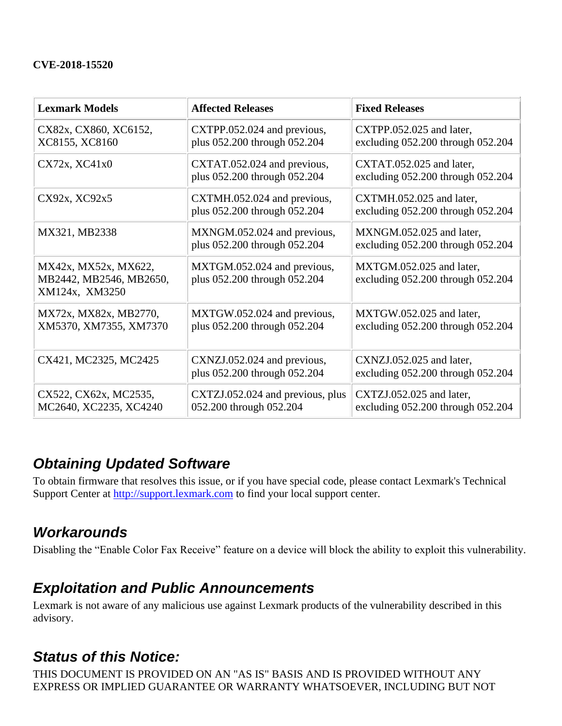#### **CVE-2018-15520**

| <b>Lexmark Models</b>                                             | <b>Affected Releases</b>                                    | <b>Fixed Releases</b>                                             |
|-------------------------------------------------------------------|-------------------------------------------------------------|-------------------------------------------------------------------|
| CX82x, CX860, XC6152,<br>XC8155, XC8160                           | CXTPP.052.024 and previous,<br>plus 052.200 through 052.204 | CXTPP.052.025 and later,<br>excluding $052.200$ through $052.204$ |
| CX72x, XC41x0                                                     | CXTAT.052.024 and previous,<br>plus 052.200 through 052.204 | CXTAT.052.025 and later,<br>excluding 052.200 through 052.204     |
| CX92x, XC92x5                                                     | CXTMH.052.024 and previous,<br>plus 052.200 through 052.204 | CXTMH.052.025 and later,<br>excluding $052.200$ through $052.204$ |
| MX321, MB2338                                                     | MXNGM.052.024 and previous,<br>plus 052.200 through 052.204 | MXNGM.052.025 and later,<br>excluding 052.200 through 052.204     |
| MX42x, MX52x, MX622,<br>MB2442, MB2546, MB2650,<br>XM124x, XM3250 | MXTGM.052.024 and previous,<br>plus 052.200 through 052.204 | MXTGM.052.025 and later,<br>excluding 052.200 through 052.204     |
| MX72x, MX82x, MB2770,<br>XM5370, XM7355, XM7370                   | MXTGW.052.024 and previous,<br>plus 052.200 through 052.204 | MXTGW.052.025 and later,<br>excluding 052.200 through 052.204     |
| CX421, MC2325, MC2425                                             | CXNZJ.052.024 and previous,<br>plus 052.200 through 052.204 | CXNZJ.052.025 and later,<br>excluding $052.200$ through $052.204$ |
| CX522, CX62x, MC2535,<br>MC2640, XC2235, XC4240                   | CXTZJ.052.024 and previous, plus<br>052.200 through 052.204 | CXTZJ.052.025 and later,<br>excluding $052.200$ through $052.204$ |

### *Obtaining Updated Software*

To obtain firmware that resolves this issue, or if you have special code, please contact Lexmark's Technical Support Center at [http://support.lexmark.com](http://support.lexmark.com/) to find your local support center.

### *Workarounds*

Disabling the "Enable Color Fax Receive" feature on a device will block the ability to exploit this vulnerability.

### *Exploitation and Public Announcements*

Lexmark is not aware of any malicious use against Lexmark products of the vulnerability described in this advisory.

### *Status of this Notice:*

THIS DOCUMENT IS PROVIDED ON AN "AS IS" BASIS AND IS PROVIDED WITHOUT ANY EXPRESS OR IMPLIED GUARANTEE OR WARRANTY WHATSOEVER, INCLUDING BUT NOT